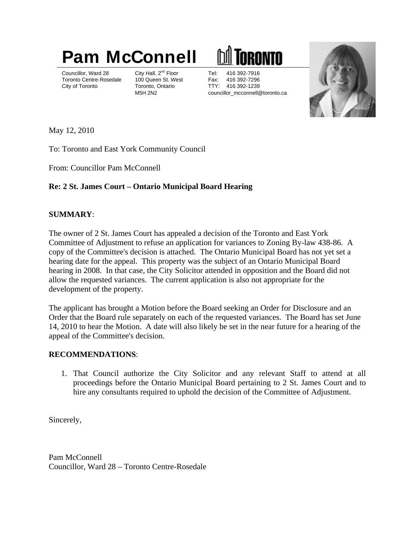# **Pam McConnell III TORONTO**

Councillor, Ward 28 City Hall, 2<sup>nd</sup> Floor Tel: 416 392-7916 Councillor, Ward 28 City Hall, 2<sup>nd</sup> Floor Tel: 416 392-7916 Toronto Centre-Rosedale 100 Queen St. West Fax: 416 392-7296 Fax: 416 392-7296 City of Toronto Toronto, Ontario TTY: 416 392-1239 M5H 2N2 councillor\_mcconnell@toronto.ca



May 12, 2010

To: Toronto and East York Community Council

From: Councillor Pam McConnell

# **Re: 2 St. James Court – Ontario Municipal Board Hearing**

## **SUMMARY**:

The owner of 2 St. James Court has appealed a decision of the Toronto and East York Committee of Adjustment to refuse an application for variances to Zoning By-law 438-86. A copy of the Committee's decision is attached. The Ontario Municipal Board has not yet set a hearing date for the appeal. This property was the subject of an Ontario Municipal Board hearing in 2008. In that case, the City Solicitor attended in opposition and the Board did not allow the requested variances. The current application is also not appropriate for the development of the property.

The applicant has brought a Motion before the Board seeking an Order for Disclosure and an Order that the Board rule separately on each of the requested variances. The Board has set June 14, 2010 to hear the Motion. A date will also likely be set in the near future for a hearing of the appeal of the Committee's decision.

## **RECOMMENDATIONS**:

1. That Council authorize the City Solicitor and any relevant Staff to attend at all proceedings before the Ontario Municipal Board pertaining to 2 St. James Court and to hire any consultants required to uphold the decision of the Committee of Adjustment.

Sincerely,

Pam McConnell Councillor, Ward 28 – Toronto Centre-Rosedale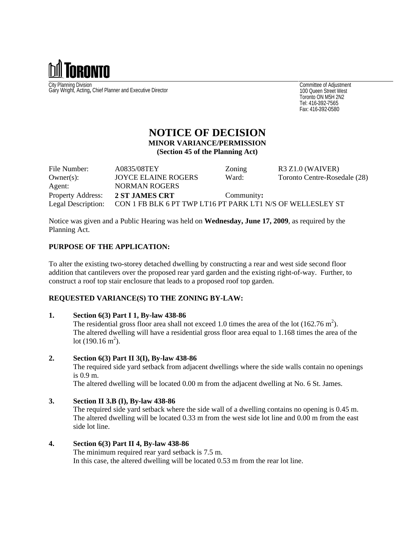

City Planning Division Gary Wright, Acting, Chief Planner and Executive Director<br>Gary Wright, Acting, Chief Planner and Executive Director<br>Toronto ON M5H 2N2

Committee of Adjustment 100 Queen Street West Toronto ON M5H 2N2 Tel: 416-392-7565 Fax: 416-392-0580

## **NOTICE OF DECISION MINOR VARIANCE/PERMISSION (Section 45 of the Planning Act)**

| File Number: | A0835/08TEY                                                                   | <i>Lonins</i> | $R3 Z1.0$ (WAIVER)           |
|--------------|-------------------------------------------------------------------------------|---------------|------------------------------|
| $Owner(s)$ : | <b>JOYCE ELAINE ROGERS</b>                                                    | <b>Ward</b>   | Toronto Centre-Rosedale (28) |
| Agent:       | <b>NORMAN ROGERS</b>                                                          |               |                              |
|              | Property Address: 2 ST JAMES CRT                                              | Community:    |                              |
|              | Legal Description: CON 1 FB BLK 6 PT TWP LT16 PT PARK LT1 N/S OF WELLESLEY ST |               |                              |

Notice was given and a Public Hearing was held on **Wednesday, June 17, 2009**, as required by the Planning Act.

#### **PURPOSE OF THE APPLICATION:**

To alter the existing two-storey detached dwelling by constructing a rear and west side second floor addition that cantilevers over the proposed rear yard garden and the existing right-of-way. Further, to construct a roof top stair enclosure that leads to a proposed roof top garden.

#### **REQUESTED VARIANCE(S) TO THE ZONING BY-LAW:**

#### **1. Section 6(3) Part I 1, By-law 438-86**

The residential gross floor area shall not exceed 1.0 times the area of the lot  $(162.76 \text{ m}^2)$ . ). The altered dwelling will have a residential gross floor area equal to 1.168 times the area of the  $\cot(190.16 \text{ m}^2)$ . ).

#### **2. Section 6(3) Part II 3(I), By-law 438-86**

The required side yard setback from adjacent dwellings where the side walls contain no openings is 0.9 m.

The altered dwelling will be located 0.00 m from the adjacent dwelling at No. 6 St. James.

#### **3. Section II 3.B (I), By-law 438-86**

The required side yard setback where the side wall of a dwelling contains no opening is 0.45 m. The altered dwelling will be located 0.33 m from the west side lot line and 0.00 m from the east side lot line.

#### **4. Section 6(3) Part II 4, By-law 438-86**

The minimum required rear yard setback is 7.5 m. In this case, the altered dwelling will be located 0.53 m from the rear lot line.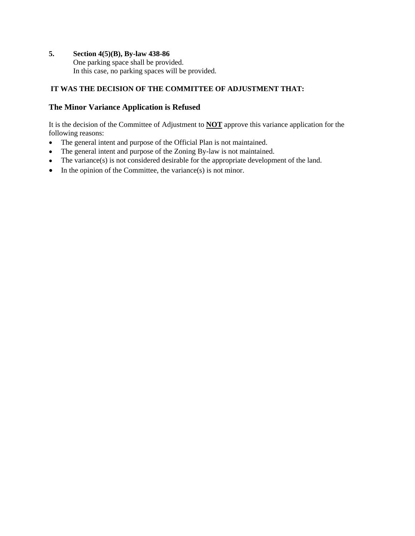### **5. Section 4(5)(B), By-law 438-86**

One parking space shall be provided. In this case, no parking spaces will be provided.

## **IT WAS THE DECISION OF THE COMMITTEE OF ADJUSTMENT THAT:**

## **The Minor Variance Application is Refused**

It is the decision of the Committee of Adjustment to **NOT** approve this variance application for the following reasons:

- $\bullet$ The general intent and purpose of the Official Plan is not maintained.
- The general intent and purpose of the Zoning By-law is not maintained.  $\bullet$
- The variance(s) is not considered desirable for the appropriate development of the land.  $\bullet$
- $\bullet$  In the opinion of the Committee, the variance(s) is not minor.